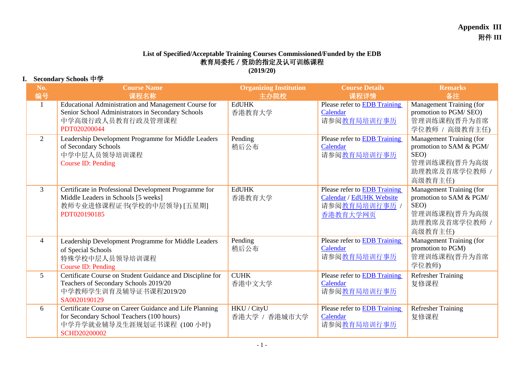## **Appendix III** 附件 **III**

## **List of Specified/Acceptable Training Courses Commissioned/Funded by the EDB** 教育局委托/资助的指定及认可训练课程 **(2019/20)**

## **I. Secondary Schools** 中学

| No.<br>编号      | <b>Course Name</b><br>课程名称                                                                                                                                | <b>Organizing Institution</b><br>主办院校 | <b>Course Details</b><br>课程详情                                                                | <b>Remarks</b><br>备注                                                                                    |
|----------------|-----------------------------------------------------------------------------------------------------------------------------------------------------------|---------------------------------------|----------------------------------------------------------------------------------------------|---------------------------------------------------------------------------------------------------------|
| $\mathbf{1}$   | Educational Administration and Management Course for<br>Senior School Administrators in Secondary Schools<br>中学高级行政人员教育行政及管理课程<br>PDT020200044            | <b>EdUHK</b><br>香港教育大学                | Please refer to <b>EDB</b> Training<br>Calendar<br>请参阅教育局培训行事历                               | Management Training (for<br>promotion to PGM/SEO)<br>管理训练课程(晋升为首席<br>学位教师 / 高级教育主任)                     |
| 2              | Leadership Development Programme for Middle Leaders<br>of Secondary Schools<br>中学中层人员领导培训课程<br>Course ID: Pending                                         | Pending<br>稍后公布                       | Please refer to <b>EDB</b> Training<br>Calendar<br>请参阅教育局培训行事历                               | Management Training (for<br>promotion to SAM & PGM/<br>SEO)<br>管理训练课程(晋升为高级<br>助理教席及首席学位教师 /<br>高级教育主任) |
| $\mathfrak{Z}$ | Certificate in Professional Development Programme for<br>Middle Leaders in Schools [5 weeks]<br>教师专业进修课程证书(学校的中层领导) [五星期]<br>PDT020190185                 | <b>EdUHK</b><br>香港教育大学                | Please refer to <b>EDB</b> Training<br>Calendar / EdUHK Website<br>请参阅教育局培训行事历 /<br>香港教育大学网页 | Management Training (for<br>promotion to SAM & PGM/<br>SEO)<br>管理训练课程(晋升为高级<br>助理教席及首席学位教师 /<br>高级教育主任) |
| $\overline{4}$ | Leadership Development Programme for Middle Leaders<br>of Special Schools<br>特殊学校中层人员领导培训课程<br>Course ID: Pending                                         | Pending<br>稍后公布                       | Please refer to <b>EDB</b> Training<br>Calendar<br>请参阅教育局培训行事历                               | Management Training (for<br>promotion to PGM)<br>管理训练课程(晋升为首席<br>学位教师)                                  |
| 5 <sup>5</sup> | Certificate Course on Student Guidance and Discipline for<br>Teachers of Secondary Schools 2019/20<br>中学教师学生训育及辅导证书课程2019/20<br>SA0020190129              | <b>CUHK</b><br>香港中文大学                 | Please refer to <b>EDB</b> Training<br>Calendar<br>请参阅教育局培训行事历                               | <b>Refresher Training</b><br>复修课程                                                                       |
| 6              | Certificate Course on Career Guidance and Life Planning<br>for Secondary School Teachers (100 hours)<br>中学升学就业辅导及生涯规划证书课程 (100 小时)<br><b>SCHD20200002</b> | HKU / CityU<br>香港大学 / 香港城市大学          | Please refer to <b>EDB</b> Training<br>Calendar<br>请参阅教育局培训行事历                               | <b>Refresher Training</b><br>复修课程                                                                       |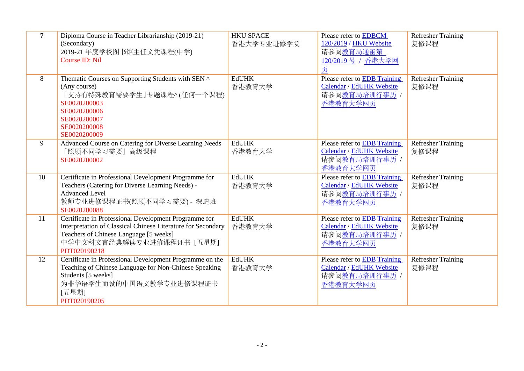| $\overline{7}$ | Diploma Course in Teacher Librarianship (2019-21)<br>(Secondary)<br>2019-21 年度学校图书馆主任文凭课程(中学)<br>Course ID: Nil                                                                                              | <b>HKU SPACE</b><br>香港大学专业进修学院 | Please refer to EDBCM<br>120/2019 / HKU Website<br>请参阅教育局通函第<br>120/2019 号 / 香港大学网<br>页 | <b>Refresher Training</b><br>复修课程 |
|----------------|--------------------------------------------------------------------------------------------------------------------------------------------------------------------------------------------------------------|--------------------------------|-----------------------------------------------------------------------------------------|-----------------------------------|
| 8              | Thematic Courses on Supporting Students with SEN ^<br>(Any course)<br>「支持有特殊教育需要学生」专题课程^(任何一个课程)<br>SE0020200003<br>SE0020200006<br>SE0020200007<br>SE0020200008<br>SE0020200009                             | <b>EdUHK</b><br>香港教育大学         | Please refer to EDB Training<br>Calendar / EdUHK Website<br>请参阅教育局培训行事历 /<br>香港教育大学网页   | <b>Refresher Training</b><br>复修课程 |
| 9              | Advanced Course on Catering for Diverse Learning Needs<br>「照顾不同学习需要」高级课程<br>SE0020200002                                                                                                                     | <b>EdUHK</b><br>香港教育大学         | Please refer to EDB Training<br>Calendar / EdUHK Website<br>请参阅教育局培训行事历 /<br>香港教育大学网页   | <b>Refresher Training</b><br>复修课程 |
| 10             | Certificate in Professional Development Programme for<br>Teachers (Catering for Diverse Learning Needs) -<br><b>Advanced Level</b><br>教师专业进修课程证书(照顾不同学习需要) - 深造班<br>SE0020200088                             | <b>EdUHK</b><br>香港教育大学         | Please refer to EDB Training<br>Calendar / EdUHK Website<br>请参阅教育局培训行事历 /<br>香港教育大学网页   | <b>Refresher Training</b><br>复修课程 |
| 11             | Certificate in Professional Development Programme for<br>Interpretation of Classical Chinese Literature for Secondary<br>Teachers of Chinese Language [5 weeks]<br>中学中文科文言经典解读专业进修课程证书 [五星期]<br>PDT020190218 | <b>EdUHK</b><br>香港教育大学         | Please refer to EDB Training<br>Calendar / EdUHK Website<br>请参阅教育局培训行事历 /<br>香港教育大学网页   | <b>Refresher Training</b><br>复修课程 |
| 12             | Certificate in Professional Development Programme on the<br>Teaching of Chinese Language for Non-Chinese Speaking<br>Students [5 weeks]<br>为非华语学生而设的中国语文教学专业进修课程证书<br>[五星期]<br>PDT020190205                  | <b>EdUHK</b><br>香港教育大学         | Please refer to EDB Training<br>Calendar / EdUHK Website<br>请参阅教育局培训行事历 /<br>香港教育大学网页   | <b>Refresher Training</b><br>复修课程 |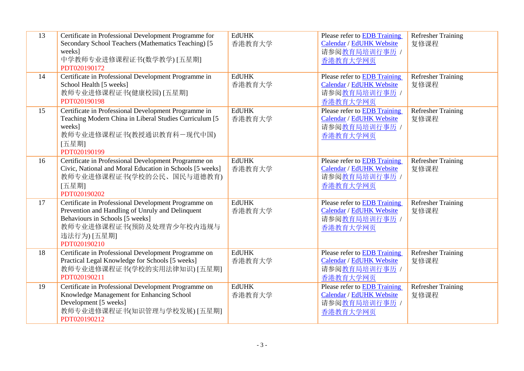| 13 | Certificate in Professional Development Programme for<br>Secondary School Teachers (Mathematics Teaching) [5<br>weeks]<br>中学教师专业进修课程证书(数学教学)[五星期]<br>PDT020190172                                      | <b>EdUHK</b><br>香港教育大学 | Please refer to EDB Training<br>Calendar / EdUHK Website<br>请参阅教育局培训行事历 /<br>香港教育大学网页        | <b>Refresher Training</b><br>复修课程 |
|----|--------------------------------------------------------------------------------------------------------------------------------------------------------------------------------------------------------|------------------------|----------------------------------------------------------------------------------------------|-----------------------------------|
| 14 | Certificate in Professional Development Programme in<br>School Health [5 weeks]<br>教师专业进修课程证书(健康校园) [五星期]<br>PDT020190198                                                                              | <b>EdUHK</b><br>香港教育大学 | Please refer to EDB Training<br>Calendar / EdUHK Website<br>请参阅教育局培训行事历 /<br>香港教育大学网页        | <b>Refresher Training</b><br>复修课程 |
| 15 | Certificate in Professional Development Programme in<br>Teaching Modern China in Liberal Studies Curriculum [5<br>weeks]<br>教师专业进修课程证书(教授通识教育科一现代中国)<br>[五星期]<br>PDT020190199                          | <b>EdUHK</b><br>香港教育大学 | Please refer to <b>EDB</b> Training<br>Calendar / EdUHK Website<br>请参阅教育局培训行事历 /<br>香港教育大学网页 | Refresher Training<br>复修课程        |
| 16 | Certificate in Professional Development Programme on<br>Civic, National and Moral Education in Schools [5 weeks]<br>教师专业进修课程证书(学校的公民、国民与道德教育)<br>[五星期]<br>PDT020190202                                 | <b>EdUHK</b><br>香港教育大学 | Please refer to EDB Training<br>Calendar / EdUHK Website<br>请参阅教育局培训行事历 /<br>香港教育大学网页        | <b>Refresher Training</b><br>复修课程 |
| 17 | Certificate in Professional Development Programme on<br>Prevention and Handling of Unruly and Delinquent<br>Behaviours in Schools [5 weeks]<br>教师专业进修课程证书(预防及处理青少年校内违规与<br>违法行为) [五星期]<br>PDT020190210 | <b>EdUHK</b><br>香港教育大学 | Please refer to EDB Training<br>Calendar / EdUHK Website<br>请参阅教育局培训行事历 /<br>香港教育大学网页        | <b>Refresher Training</b><br>复修课程 |
| 18 | Certificate in Professional Development Programme on<br>Practical Legal Knowledge for Schools [5 weeks]<br>教师专业进修课程证书(学校的实用法律知识) [五星期]<br>PDT020190211                                                 | <b>EdUHK</b><br>香港教育大学 | Please refer to EDB Training<br>Calendar / EdUHK Website<br>请参阅教育局培训行事历 /<br>香港教育大学网页        | <b>Refresher Training</b><br>复修课程 |
| 19 | Certificate in Professional Development Programme on<br>Knowledge Management for Enhancing School<br>Development [5 weeks]<br>教师专业进修课程证书(知识管理与学校发展) [五星期]<br>PDT020190212                              | <b>EdUHK</b><br>香港教育大学 | Please refer to EDB Training<br>Calendar / EdUHK Website<br>请参阅教育局培训行事历 /<br>香港教育大学网页        | Refresher Training<br>复修课程        |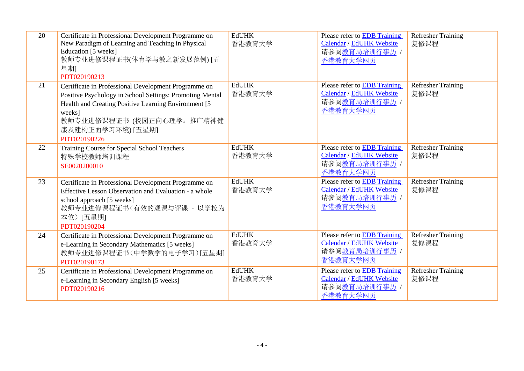| 20 | Certificate in Professional Development Programme on<br>New Paradigm of Learning and Teaching in Physical<br>Education [5 weeks]<br>教师专业进修课程证书(体育学与教之新发展范例) [五<br>星期]<br>PDT020190213                                                                  | <b>EdUHK</b><br>香港教育大学 | Please refer to EDB Training<br>Calendar / EdUHK Website<br>请参阅教育局培训行事历 /<br>香港教育大学网页        | <b>Refresher Training</b><br>复修课程 |
|----|--------------------------------------------------------------------------------------------------------------------------------------------------------------------------------------------------------------------------------------------------------|------------------------|----------------------------------------------------------------------------------------------|-----------------------------------|
| 21 | Certificate in Professional Development Programme on<br>Positive Psychology in School Settings: Promoting Mental<br>Health and Creating Positive Learning Environment [5]<br>weeks]<br>教师专业进修课程证书 (校园正向心理学: 推广精神健<br>康及建构正面学习环境) [五星期]<br>PDT020190226 | <b>EdUHK</b><br>香港教育大学 | Please refer to EDB Training<br>Calendar / EdUHK Website<br>请参阅教育局培训行事历 /<br>香港教育大学网页        | <b>Refresher Training</b><br>复修课程 |
| 22 | Training Course for Special School Teachers<br>特殊学校教师培训课程<br>SE0020200010                                                                                                                                                                              | <b>EdUHK</b><br>香港教育大学 | Please refer to <b>EDB</b> Training<br>Calendar / EdUHK Website<br>请参阅教育局培训行事历 /<br>香港教育大学网页 | <b>Refresher Training</b><br>复修课程 |
| 23 | Certificate in Professional Development Programme on<br>Effective Lesson Observation and Evaluation - a whole<br>school approach [5 weeks]<br>教师专业进修课程证书(有效的观课与评课 - 以学校为<br>本位)[五星期]<br>PDT020190204                                                   | <b>EdUHK</b><br>香港教育大学 | Please refer to EDB Training<br><b>Calendar / EdUHK Website</b><br>请参阅教育局培训行事历 /<br>香港教育大学网页 | <b>Refresher Training</b><br>复修课程 |
| 24 | Certificate in Professional Development Programme on<br>e-Learning in Secondary Mathematics [5 weeks]<br>教师专业进修课程证书(中学数学的电子学习)[五星期]<br>PDT020190173                                                                                                    | <b>EdUHK</b><br>香港教育大学 | Please refer to EDB Training<br>Calendar / EdUHK Website<br>请参阅教育局培训行事历 /<br>香港教育大学网页        | <b>Refresher Training</b><br>复修课程 |
| 25 | Certificate in Professional Development Programme on<br>e-Learning in Secondary English [5 weeks]<br>PDT020190216                                                                                                                                      | <b>EdUHK</b><br>香港教育大学 | Please refer to <b>EDB</b> Training<br>Calendar / EdUHK Website<br>请参阅教育局培训行事历 /<br>香港教育大学网页 | <b>Refresher Training</b><br>复修课程 |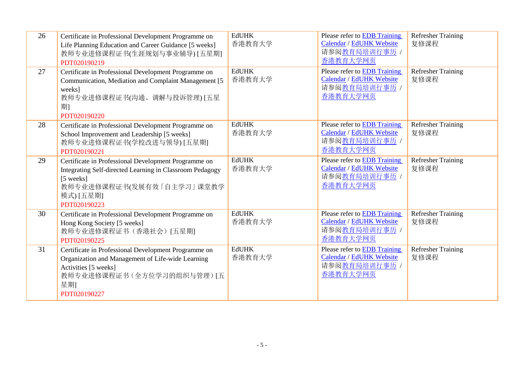| 26 | Certificate in Professional Development Programme on<br>Life Planning Education and Career Guidance [5 weeks]<br>教师专业进修课程证书(生涯规划与事业辅导) [五星期]<br>PDT020190219                            | <b>EdUHK</b><br>香港教育大学 | Please refer to EDB Training<br>Calendar / EdUHK Website<br>请参阅教育局培训行事历 /<br>香港教育大学网页        | <b>Refresher Training</b><br>复修课程 |
|----|-----------------------------------------------------------------------------------------------------------------------------------------------------------------------------------------|------------------------|----------------------------------------------------------------------------------------------|-----------------------------------|
| 27 | Certificate in Professional Development Programme on<br>Communication, Mediation and Complaint Management [5]<br>weeks]<br>教师专业进修课程证书(沟通、调解与投诉管理) [五星<br>期1<br>PDT020190220             | <b>EdUHK</b><br>香港教育大学 | Please refer to EDB Training<br><b>Calendar / EdUHK Website</b><br>请参阅教育局培训行事历 /<br>香港教育大学网页 | <b>Refresher Training</b><br>复修课程 |
| 28 | Certificate in Professional Development Programme on<br>School Improvement and Leadership [5 weeks]<br>教师专业进修课程证书(学校改进与领导) [五星期]<br>PDT020190221                                        | <b>EdUHK</b><br>香港教育大学 | Please refer to EDB Training<br>Calendar / EdUHK Website<br>请参阅教育局培训行事历 /<br>香港教育大学网页        | <b>Refresher Training</b><br>复修课程 |
| 29 | Certificate in Professional Development Programme on<br>Integrating Self-directed Learning in Classroom Pedagogy<br>[5 weeks]<br>教师专业进修课程证书(发展有效「自主学习」课堂教学<br>模式) [五星期]<br>PDT020190223 | <b>EdUHK</b><br>香港教育大学 | Please refer to EDB Training<br>Calendar / EdUHK Website<br>请参阅教育局培训行事历 /<br>香港教育大学网页        | <b>Refresher Training</b><br>复修课程 |
| 30 | Certificate in Professional Development Programme on<br>Hong Kong Society [5 weeks]<br>教师专业进修课程证书(香港社会)[五星期]<br>PDT020190225                                                            | <b>EdUHK</b><br>香港教育大学 | Please refer to EDB Training<br>Calendar / EdUHK Website<br>请参阅教育局培训行事历 /<br>香港教育大学网页        | <b>Refresher Training</b><br>复修课程 |
| 31 | Certificate in Professional Development Programme on<br>Organization and Management of Life-wide Learning<br>Activities [5 weeks]<br>教师专业进修课程证书(全方位学习的组织与管理)[五<br>星期]<br>PDT020190227   | <b>EdUHK</b><br>香港教育大学 | Please refer to EDB Training<br>Calendar / EdUHK Website<br>请参阅教育局培训行事历 /<br>香港教育大学网页        | <b>Refresher Training</b><br>复修课程 |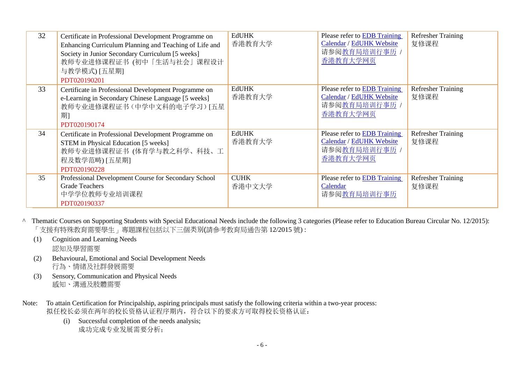| 32 | Certificate in Professional Development Programme on<br>Enhancing Curriculum Planning and Teaching of Life and<br>Society in Junior Secondary Curriculum [5 weeks]<br>教师专业进修课程证书 (初中「生活与社会」课程设计<br>与教学模式) [五星期]<br>PDT020190201 | <b>EdUHK</b><br>香港教育大学 | Please refer to <b>EDB</b> Training<br>Calendar / EdUHK Website<br>请参阅教育局培训行事历 /<br>香港教育大学网页 | <b>Refresher Training</b><br>复修课程 |
|----|---------------------------------------------------------------------------------------------------------------------------------------------------------------------------------------------------------------------------------|------------------------|----------------------------------------------------------------------------------------------|-----------------------------------|
| 33 | Certificate in Professional Development Programme on<br>e-Learning in Secondary Chinese Language [5 weeks]<br>教师专业进修课程证书(中学中文科的电子学习)[五星<br>期1<br>PDT020190174                                                                   | <b>EdUHK</b><br>香港教育大学 | Please refer to EDB Training<br>Calendar / EdUHK Website<br>请参阅教育局培训行事历 /<br>香港教育大学网页        | <b>Refresher Training</b><br>复修课程 |
| 34 | Certificate in Professional Development Programme on<br><b>STEM</b> in Physical Education [5 weeks]<br>教师专业进修课程证书 (体育学与教之科学、科技、工<br>程及数学范畴) [五星期]<br>PDT020190228                                                               | <b>EdUHK</b><br>香港教育大学 | Please refer to <b>EDB</b> Training<br>Calendar / EdUHK Website<br>请参阅教育局培训行事历 /<br>香港教育大学网页 | <b>Refresher Training</b><br>复修课程 |
| 35 | Professional Development Course for Secondary School<br><b>Grade Teachers</b><br>中学学位教师专业培训课程<br>PDT020190337                                                                                                                   | <b>CUHK</b><br>香港中文大学  | Please refer to <b>EDB</b> Training<br>Calendar<br>请参阅教育局培训行事历                               | <b>Refresher Training</b><br>复修课程 |

- ^ Thematic Courses on Supporting Students with Special Educational Needs include the following 3 categories (Please refer to Education Bureau Circular No. 12/2015): 「支援有特殊教育需要學生」專題課程包括以下三個类别(請參考教育局通告第 12/2015 號) :
	- (1) Cognition and Learning Needs 認知及學習需要
	- (2) Behavioural, Emotional and Social Development Needs 行為、情緒及社群發展需要
	- (3) Sensory, Communication and Physical Needs 感知、溝通及肢體需要
- Note: To attain Certification for Principalship, aspiring principals must satisfy the following criteria within a two-year process: 拟任校长必须在两年的校长资格认证程序期内,符合以下的要求方可取得校长资格认证:
	- (i) Successful completion of the needs analysis; 成功完成专业发展需要分析;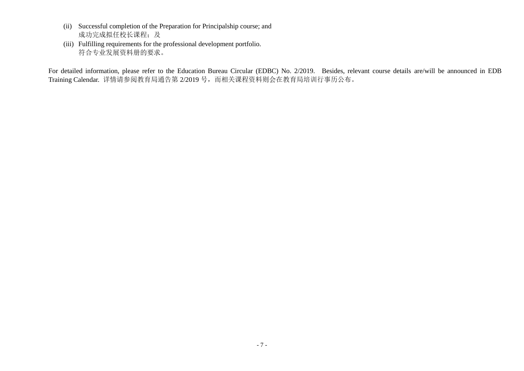- (ii) Successful completion of the Preparation for Principalship course; and 成功完成拟任校长课程;及
- (iii) Fulfilling requirements for the professional development portfolio. 符合专业发展资料册的要求。

For detailed information, please refer to the Education Bureau Circular (EDBC) No. 2/2019. Besides, relevant course details are/will be announced in EDB Training Calendar. 详情请参阅教育局通告第 2/2019 号, 而相关课程资料则会在教育局培训行事历公布。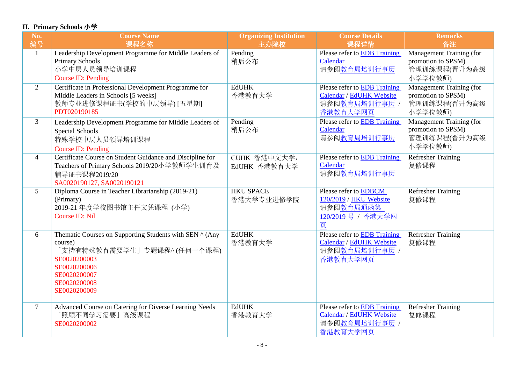## **II. Primary Schools** 小学

| No.<br>编号      | <b>Course Name</b><br>课程名称                                                                                                                                                       | <b>Organizing Institution</b><br>主办院校 | <b>Course Details</b><br>课程详情                                                                | <b>Remarks</b><br>备注                                                             |
|----------------|----------------------------------------------------------------------------------------------------------------------------------------------------------------------------------|---------------------------------------|----------------------------------------------------------------------------------------------|----------------------------------------------------------------------------------|
| $\mathbf{1}$   | Leadership Development Programme for Middle Leaders of<br><b>Primary Schools</b><br>小学中层人员领导培训课程<br><b>Course ID: Pending</b>                                                    | Pending<br>稍后公布                       | Please refer to EDB Training<br>Calendar<br>请参阅教育局培训行事历                                      | Management Training (for<br>promotion to SPSM)<br>管理训练课程(晋升为高级<br>小学学位教师)        |
| $\overline{2}$ | Certificate in Professional Development Programme for<br>Middle Leaders in Schools [5 weeks]<br>教师专业进修课程证书(学校的中层领导) [五星期]<br>PDT020190185                                        | <b>EdUHK</b><br>香港教育大学                | Please refer to EDB Training<br>Calendar / EdUHK Website<br>请参阅教育局培训行事历 /<br>香港教育大学网页        | <b>Management Training (for</b><br>promotion to SPSM)<br>管理训练课程(晋升为高级<br>小学学位教师) |
| 3              | Leadership Development Programme for Middle Leaders of<br>Special Schools<br>特殊学校中层人员领导培训课程<br>Course ID: Pending                                                                | Pending<br>稍后公布                       | Please refer to <b>EDB</b> Training<br>Calendar<br>请参阅教育局培训行事历                               | Management Training (for<br>promotion to SPSM)<br>管理训练课程(晋升为高级<br>小学学位教师)        |
| $\overline{4}$ | Certificate Course on Student Guidance and Discipline for<br>Teachers of Primary Schools 2019/20小学教师学生训育及<br>辅导证书课程2019/20<br>SA0020190127, SA0020190121                         | CUHK 香港中文大学,<br>EdUHK 香港教育大学          | Please refer to EDB Training<br>Calendar<br>请参阅教育局培训行事历                                      | <b>Refresher Training</b><br>复修课程                                                |
| $5^{\circ}$    | Diploma Course in Teacher Librarianship (2019-21)<br>(Primary)<br>2019-21 年度学校图书馆主任文凭课程 (小学)<br><b>Course ID: Nil</b>                                                            | <b>HKU SPACE</b><br>香港大学专业进修学院        | Please refer to EDBCM<br>120/2019 / HKU Website<br>请参阅教育局通函第<br>120/2019 号 / 香港大学网<br>页      | <b>Refresher Training</b><br>复修课程                                                |
| 6              | Thematic Courses on Supporting Students with SEN ^ (Any<br>course)<br>「支持有特殊教育需要学生」专题课程^(任何一个课程)<br>SE0020200003<br>SE0020200006<br>SE0020200007<br>SE0020200008<br>SE0020200009 | <b>EdUHK</b><br>香港教育大学                | Please refer to EDB Training<br><b>Calendar / EdUHK Website</b><br>请参阅教育局培训行事历 /<br>香港教育大学网页 | <b>Refresher Training</b><br>复修课程                                                |
| $\tau$         | Advanced Course on Catering for Diverse Learning Needs<br>「照顾不同学习需要」高级课程<br>SE0020200002                                                                                         | <b>EdUHK</b><br>香港教育大学                | Please refer to EDB Training<br>Calendar / EdUHK Website<br>请参阅教育局培训行事历 /<br>香港教育大学网页        | <b>Refresher Training</b><br>复修课程                                                |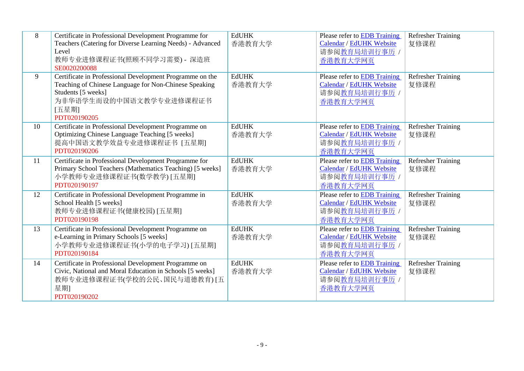| 8  | Certificate in Professional Development Programme for<br>Teachers (Catering for Diverse Learning Needs) - Advanced<br>Level<br>教师专业进修课程证书(照顾不同学习需要) - 深造班<br>SE0020200088                   | <b>EdUHK</b><br>香港教育大学 | Please refer to <b>EDB</b> Training<br>Calendar / EdUHK Website<br>请参阅教育局培训行事历 /<br>香港教育大学网页        | <b>Refresher Training</b><br>复修课程 |
|----|---------------------------------------------------------------------------------------------------------------------------------------------------------------------------------------------|------------------------|-----------------------------------------------------------------------------------------------------|-----------------------------------|
| 9  | Certificate in Professional Development Programme on the<br>Teaching of Chinese Language for Non-Chinese Speaking<br>Students [5 weeks]<br>为非华语学生而设的中国语文教学专业进修课程证书<br>[五星期]<br>PDT020190205 | <b>EdUHK</b><br>香港教育大学 | Please refer to EDB Training<br>Calendar / EdUHK Website<br>请参阅教育局培训行事历 /<br>香港教育大学网页               | <b>Refresher Training</b><br>复修课程 |
| 10 | Certificate in Professional Development Programme on<br>Optimizing Chinese Language Teaching [5 weeks]<br>提高中国语文教学效益专业进修课程证书 [五星期]<br>PDT020190206                                          | <b>EdUHK</b><br>香港教育大学 | Please refer to EDB Training<br>Calendar / EdUHK Website<br>请参阅教育局培训行事历 /<br>香港教育大学网页               | <b>Refresher Training</b><br>复修课程 |
| 11 | Certificate in Professional Development Programme for<br>Primary School Teachers (Mathematics Teaching) [5 weeks]<br>小学教师专业进修课程证书(数学教学)[五星期]<br>PDT020190197                                | <b>EdUHK</b><br>香港教育大学 | Please refer to <b>EDB</b> Training<br><b>Calendar / EdUHK Website</b><br>请参阅教育局培训行事历 /<br>香港教育大学网页 | <b>Refresher Training</b><br>复修课程 |
| 12 | Certificate in Professional Development Programme in<br>School Health [5 weeks]<br>教师专业进修课程证书(健康校园) [五星期]<br>PDT020190198                                                                   | <b>EdUHK</b><br>香港教育大学 | Please refer to EDB Training<br>Calendar / EdUHK Website<br>请参阅教育局培训行事历 /<br>香港教育大学网页               | <b>Refresher Training</b><br>复修课程 |
| 13 | Certificate in Professional Development Programme on<br>e-Learning in Primary Schools [5 weeks]<br>小学教师专业进修课程证书(小学的电子学习) [五星期]<br>PDT020190184                                              | <b>EdUHK</b><br>香港教育大学 | Please refer to EDB Training<br>Calendar / EdUHK Website<br>请参阅教育局培训行事历 /<br>香港教育大学网页               | <b>Refresher Training</b><br>复修课程 |
| 14 | Certificate in Professional Development Programme on<br>Civic, National and Moral Education in Schools [5 weeks]<br>教师专业进修课程证书(学校的公民、国民与道德教育)[五<br>星期]<br>PDT020190202                      | <b>EdUHK</b><br>香港教育大学 | Please refer to EDB Training<br>Calendar / EdUHK Website<br>请参阅教育局培训行事历 /<br>香港教育大学网页               | <b>Refresher Training</b><br>复修课程 |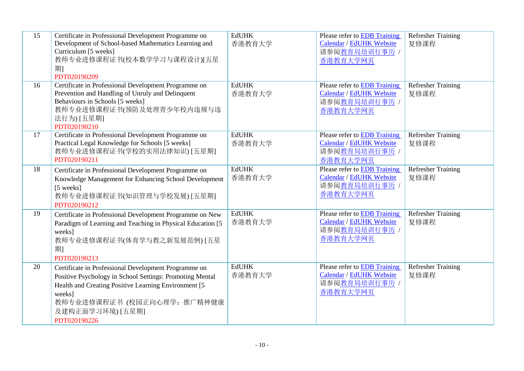| 15 | Certificate in Professional Development Programme on<br>Development of School-based Mathematics Learning and<br>Curriculum [5 weeks]<br>教师专业进修课程证书(校本数学学习与课程设计)[五星<br>期1<br>PDT020190209                                                               | <b>EdUHK</b><br>香港教育大学 | <b>Please refer to EDB Training</b><br>Calendar / EdUHK Website<br>请参阅教育局培训行事历 /<br>香港教育大学网页        | <b>Refresher Training</b><br>复修课程 |
|----|--------------------------------------------------------------------------------------------------------------------------------------------------------------------------------------------------------------------------------------------------------|------------------------|-----------------------------------------------------------------------------------------------------|-----------------------------------|
| 16 | Certificate in Professional Development Programme on<br>Prevention and Handling of Unruly and Delinquent<br>Behaviours in Schools [5 weeks]<br>教师专业进修课程证书(预防及处理青少年校内违规与违<br>法行为) [五星期]<br>PDT020190210                                                 | <b>EdUHK</b><br>香港教育大学 | Please refer to EDB Training<br>Calendar / EdUHK Website<br>请参阅教育局培训行事历 /<br>香港教育大学网页               | <b>Refresher Training</b><br>复修课程 |
| 17 | Certificate in Professional Development Programme on<br>Practical Legal Knowledge for Schools [5 weeks]<br>教师专业进修课程证书(学校的实用法律知识) [五星期]<br>PDT020190211                                                                                                 | <b>EdUHK</b><br>香港教育大学 | <b>Please refer to EDB Training</b><br>Calendar / EdUHK Website<br>请参阅教育局培训行事历 /<br>香港教育大学网页        | <b>Refresher Training</b><br>复修课程 |
| 18 | Certificate in Professional Development Programme on<br>Knowledge Management for Enhancing School Development<br>[5 weeks]<br>教师专业进修课程证书(知识管理与学校发展)[五星期]<br>PDT020190212                                                                               | <b>EdUHK</b><br>香港教育大学 | Please refer to EDB Training<br>Calendar / EdUHK Website<br>请参阅教育局培训行事历 /<br>香港教育大学网页               | <b>Refresher Training</b><br>复修课程 |
| 19 | Certificate in Professional Development Programme on New<br>Paradigm of Learning and Teaching in Physical Education [5<br>weeks]<br>教师专业进修课程证书(体育学与教之新发展范例) [五星<br>期1<br>PDT020190213                                                                  | <b>EdUHK</b><br>香港教育大学 | Please refer to <b>EDB</b> Training<br><b>Calendar / EdUHK Website</b><br>请参阅教育局培训行事历 /<br>香港教育大学网页 | <b>Refresher Training</b><br>复修课程 |
| 20 | Certificate in Professional Development Programme on<br>Positive Psychology in School Settings: Promoting Mental<br>Health and Creating Positive Learning Environment [5]<br>weeks]<br>教师专业进修课程证书 (校园正向心理学: 推广精神健康<br>及建构正面学习环境) [五星期]<br>PDT020190226 | <b>EdUHK</b><br>香港教育大学 | Please refer to <b>EDB</b> Training<br>Calendar / EdUHK Website<br>请参阅教育局培训行事历 /<br>香港教育大学网页        | <b>Refresher Training</b><br>复修课程 |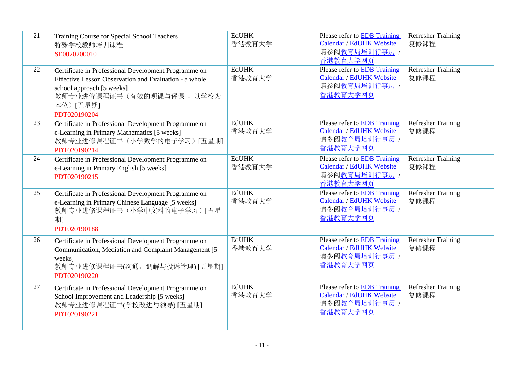| 21 | Training Course for Special School Teachers<br>特殊学校教师培训课程<br>SE0020200010                                                                                                                            | <b>EdUHK</b><br>香港教育大学 | Please refer to EDB Training<br>Calendar / EdUHK Website<br>请参阅教育局培训行事历 /<br>香港教育大学网页        | <b>Refresher Training</b><br>复修课程 |
|----|------------------------------------------------------------------------------------------------------------------------------------------------------------------------------------------------------|------------------------|----------------------------------------------------------------------------------------------|-----------------------------------|
| 22 | Certificate in Professional Development Programme on<br>Effective Lesson Observation and Evaluation - a whole<br>school approach [5 weeks]<br>教师专业进修课程证书(有效的观课与评课 - 以学校为<br>本位)[五星期]<br>PDT020190204 | <b>EdUHK</b><br>香港教育大学 | <b>Please refer to EDB Training</b><br>Calendar / EdUHK Website<br>请参阅教育局培训行事历 /<br>香港教育大学网页 | Refresher Training<br>复修课程        |
| 23 | Certificate in Professional Development Programme on<br>e-Learning in Primary Mathematics [5 weeks]<br>教师专业进修课程证书(小学数学的电子学习)[五星期]<br>PDT020190214                                                    | <b>EdUHK</b><br>香港教育大学 | Please refer to EDB Training<br>Calendar / EdUHK Website<br>请参阅教育局培训行事历 /<br>香港教育大学网页        | <b>Refresher Training</b><br>复修课程 |
| 24 | Certificate in Professional Development Programme on<br>e-Learning in Primary English [5 weeks]<br>PDT020190215                                                                                      | <b>EdUHK</b><br>香港教育大学 | Please refer to EDB Training<br>Calendar / EdUHK Website<br>请参阅教育局培训行事历 /<br>香港教育大学网页        | <b>Refresher Training</b><br>复修课程 |
| 25 | Certificate in Professional Development Programme on<br>e-Learning in Primary Chinese Language [5 weeks]<br>教师专业进修课程证书(小学中文科的电子学习)[五星<br>期1<br>PDT020190188                                          | <b>EdUHK</b><br>香港教育大学 | Please refer to EDB Training<br><b>Calendar / EdUHK Website</b><br>请参阅教育局培训行事历 /<br>香港教育大学网页 | <b>Refresher Training</b><br>复修课程 |
| 26 | Certificate in Professional Development Programme on<br>Communication, Mediation and Complaint Management [5]<br>weeks]<br>教师专业进修课程证书(沟通、调解与投诉管理) [五星期]<br>PDT020190220                              | <b>EdUHK</b><br>香港教育大学 | Please refer to EDB Training<br>Calendar / EdUHK Website<br>请参阅教育局培训行事历 /<br>香港教育大学网页        | <b>Refresher Training</b><br>复修课程 |
| 27 | Certificate in Professional Development Programme on<br>School Improvement and Leadership [5 weeks]<br>教师专业进修课程证书(学校改进与领导) [五星期]<br>PDT020190221                                                     | <b>EdUHK</b><br>香港教育大学 | Please refer to EDB Training<br>Calendar / EdUHK Website<br>请参阅教育局培训行事历 /<br>香港教育大学网页        | <b>Refresher Training</b><br>复修课程 |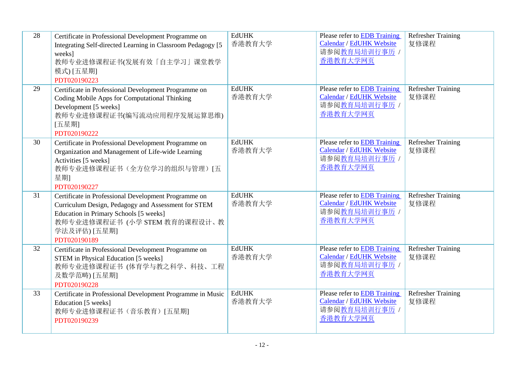| 28 | Certificate in Professional Development Programme on<br>Integrating Self-directed Learning in Classroom Pedagogy [5]<br>weeks]<br>教师专业进修课程证书(发展有效「自主学习」课堂教学<br>模式) [五星期]<br>PDT020190223                              | <b>EdUHK</b><br>香港教育大学 | Please refer to EDB Training<br>Calendar / EdUHK Website<br>请参阅教育局培训行事历 /<br>香港教育大学网页        | <b>Refresher Training</b><br>复修课程 |
|----|-----------------------------------------------------------------------------------------------------------------------------------------------------------------------------------------------------------------------|------------------------|----------------------------------------------------------------------------------------------|-----------------------------------|
| 29 | Certificate in Professional Development Programme on<br>Coding Mobile Apps for Computational Thinking<br>Development [5 weeks]<br>教师专业进修课程证书(编写流动应用程序发展运算思维)<br>[五星期]<br>PDT020190222                                 | <b>EdUHK</b><br>香港教育大学 | Please refer to EDB Training<br>Calendar / EdUHK Website<br>请参阅教育局培训行事历 /<br>香港教育大学网页        | <b>Refresher Training</b><br>复修课程 |
| 30 | Certificate in Professional Development Programme on<br>Organization and Management of Life-wide Learning<br>Activities [5 weeks]<br>教师专业进修课程证书(全方位学习的组织与管理)[五<br>星期]<br>PDT020190227                                 | <b>EdUHK</b><br>香港教育大学 | Please refer to EDB Training<br>Calendar / EdUHK Website<br>请参阅教育局培训行事历 /<br>香港教育大学网页        | <b>Refresher Training</b><br>复修课程 |
| 31 | Certificate in Professional Development Programme on<br>Curriculum Design, Pedagogy and Assessment for STEM<br>Education in Primary Schools [5 weeks]<br>教师专业进修课程证书(小学 STEM 教育的课程设计、教<br>学法及评估) [五星期]<br>PDT020190189 | <b>EdUHK</b><br>香港教育大学 | Please refer to EDB Training<br>Calendar / EdUHK Website<br>请参阅教育局培训行事历 /<br>香港教育大学网页        | <b>Refresher Training</b><br>复修课程 |
| 32 | Certificate in Professional Development Programme on<br>STEM in Physical Education [5 weeks]<br>教师专业进修课程证书 (体育学与教之科学、科技、工程<br>及数学范畴) [五星期]<br>PDT020190228                                                            | <b>EdUHK</b><br>香港教育大学 | Please refer to EDB Training<br>Calendar / EdUHK Website<br>请参阅教育局培训行事历 /<br>香港教育大学网页        | <b>Refresher Training</b><br>复修课程 |
| 33 | Certificate in Professional Development Programme in Music<br>Education [5 weeks]<br>教师专业进修课程证书(音乐教育)[五星期]<br>PDT020190239                                                                                            | <b>EdUHK</b><br>香港教育大学 | Please refer to EDB Training<br><b>Calendar / EdUHK Website</b><br>请参阅教育局培训行事历 /<br>香港教育大学网页 | <b>Refresher Training</b><br>复修课程 |